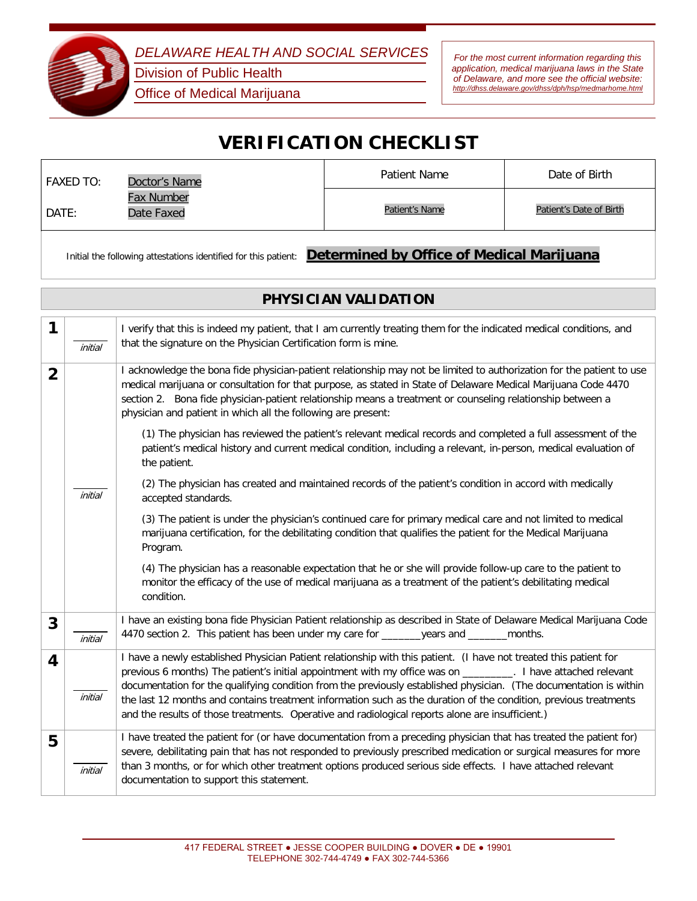

*DELAWARE HEALTH AND SOCIAL SERVICES*

Division of Public Health

Office of Medical Marijuana

*For the most current information regarding this application, medical marijuana laws in the State of Delaware, and more see the official website: <http://dhss.delaware.gov/dhss/dph/hsp/medmarhome.html>*

## **VERIFICATION CHECKLIST**

FAXED TO: Doctor's Name Fax Number DATE: Date Faxed

Patient Name **Date of Birth** 

Patient's Name<br>
Patient's Date of Birth

Initial the following attestations identified for this patient: **Determined by Office of Medical Marijuana**

## **PHYSICIAN VALIDATION**

| 1              | initial        | I verify that this is indeed my patient, that I am currently treating them for the indicated medical conditions, and<br>that the signature on the Physician Certification form is mine.                                                                                                                                                                                                                                                                                                                                                                                           |
|----------------|----------------|-----------------------------------------------------------------------------------------------------------------------------------------------------------------------------------------------------------------------------------------------------------------------------------------------------------------------------------------------------------------------------------------------------------------------------------------------------------------------------------------------------------------------------------------------------------------------------------|
| $\overline{2}$ |                | I acknowledge the bona fide physician-patient relationship may not be limited to authorization for the patient to use<br>medical marijuana or consultation for that purpose, as stated in State of Delaware Medical Marijuana Code 4470<br>section 2. Bona fide physician-patient relationship means a treatment or counseling relationship between a<br>physician and patient in which all the following are present:                                                                                                                                                            |
|                |                | (1) The physician has reviewed the patient's relevant medical records and completed a full assessment of the<br>patient's medical history and current medical condition, including a relevant, in-person, medical evaluation of<br>the patient.                                                                                                                                                                                                                                                                                                                                   |
|                | <i>initial</i> | (2) The physician has created and maintained records of the patient's condition in accord with medically<br>accepted standards.                                                                                                                                                                                                                                                                                                                                                                                                                                                   |
|                |                | (3) The patient is under the physician's continued care for primary medical care and not limited to medical<br>marijuana certification, for the debilitating condition that qualifies the patient for the Medical Marijuana<br>Program.                                                                                                                                                                                                                                                                                                                                           |
|                |                | (4) The physician has a reasonable expectation that he or she will provide follow-up care to the patient to<br>monitor the efficacy of the use of medical marijuana as a treatment of the patient's debilitating medical<br>condition.                                                                                                                                                                                                                                                                                                                                            |
| 3              | <i>initial</i> | I have an existing bona fide Physician Patient relationship as described in State of Delaware Medical Marijuana Code<br>4470 section 2. This patient has been under my care for _______years and _______months.                                                                                                                                                                                                                                                                                                                                                                   |
| 4              | initial        | I have a newly established Physician Patient relationship with this patient. (I have not treated this patient for<br>previous 6 months) The patient's initial appointment with my office was on _________. I have attached relevant<br>documentation for the qualifying condition from the previously established physician. (The documentation is within<br>the last 12 months and contains treatment information such as the duration of the condition, previous treatments<br>and the results of those treatments. Operative and radiological reports alone are insufficient.) |
| 5              | initial        | I have treated the patient for (or have documentation from a preceding physician that has treated the patient for)<br>severe, debilitating pain that has not responded to previously prescribed medication or surgical measures for more<br>than 3 months, or for which other treatment options produced serious side effects. I have attached relevant<br>documentation to support this statement.                                                                                                                                                                               |